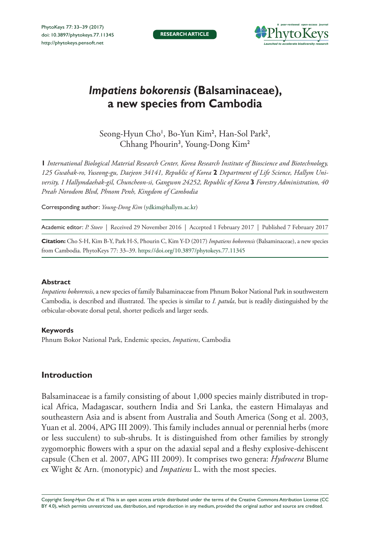

# *Impatiens bokorensis* **(Balsaminaceae), a new species from Cambodia**

Seong-Hyun Cho<sup>1</sup>, Bo-Yun Kim<sup>2</sup>, Han-Sol Park<sup>2</sup>, Chhang Phourin<sup>3</sup>, Young-Dong Kim<sup>2</sup>

**1** *International Biological Material Research Center, Korea Research Institute of Bioscience and Biotechnology, 125 Gwahak-ro, Yuseong-gu, Daejeon 34141, Republic of Korea* **2** *Department of Life Science, Hallym University, 1 Hallymdaehak-gil, Chuncheon-si, Gangwon 24252, Republic of Korea* **3** *Forestry Administration, 40 Preah Norodom Blvd, Phnom Penh, Kingdom of Cambodia*

Corresponding author: *Young-Dong Kim* [\(ydkim@hallym.ac.kr\)](mailto:ydkim@hallym.ac.kr)

Academic editor: *P. Stoev* | Received 29 November 2016 | Accepted 1 February 2017 | Published 7 February 2017

**Citation:** Cho S-H, Kim B-Y, Park H-S, Phourin C, Kim Y-D (2017) *Impatiens bokorensis* (Balsaminaceae), a new species from Cambodia. PhytoKeys 77: 33–39. <https://doi.org/10.3897/phytokeys.77.11345>

## **Abstract**

*Impatiens bokorensis*, a new species of family Balsaminaceae from Phnum Bokor National Park in southwestern Cambodia, is described and illustrated. The species is similar to *I. patula*, but is readily distinguished by the orbicular-obovate dorsal petal, shorter pedicels and larger seeds.

## **Keywords**

Phnum Bokor National Park, Endemic species, *Impatiens*, Cambodia

## **Introduction**

Balsaminaceae is a family consisting of about 1,000 species mainly distributed in tropical Africa, Madagascar, southern India and Sri Lanka, the eastern Himalayas and southeastern Asia and is absent from Australia and South America (Song et al. 2003, Yuan et al. 2004, APG III 2009). This family includes annual or perennial herbs (more or less succulent) to sub-shrubs. It is distinguished from other families by strongly zygomorphic flowers with a spur on the adaxial sepal and a fleshy explosive-dehiscent capsule (Chen et al. 2007, APG III 2009). It comprises two genera: *Hydrocera* Blume ex Wight & Arn. (monotypic) and *Impatiens* L. with the most species.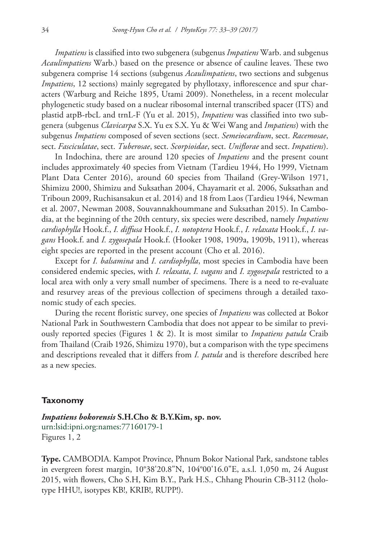*Impatiens* is classified into two subgenera (subgenus *Impatiens* Warb. and subgenus *Acaulimpatiens* Warb.) based on the presence or absence of cauline leaves. These two subgenera comprise 14 sections (subgenus *Acaulimpatiens*, two sections and subgenus *Impatiens*, 12 sections) mainly segregated by phyllotaxy, inflorescence and spur characters (Warburg and Reiche 1895, Utami 2009). Nonetheless, in a recent molecular phylogenetic study based on a nuclear ribosomal internal transcribed spacer (ITS) and plastid atpB-rbcL and trnL-F (Yu et al. 2015), *Impatiens* was classified into two subgenera (subgenus *Clavicarpa* S.X. Yu ex S.X. Yu & Wei Wang and *Impatiens*) with the subgenus *Impatiens* composed of seven sections (sect. *Semeiocardium*, sect. *Racemosae*, sect. *Fasciculatae*, sect. *Tuberosae*, sect. *Scorpioidae*, sect. *Uniflorae* and sect. *Impatiens*).

In Indochina, there are around 120 species of *Impatiens* and the present count includes approximately 40 species from Vietnam (Tardieu 1944, Ho 1999, Vietnam Plant Data Center 2016), around 60 species from Thailand (Grey-Wilson 1971, Shimizu 2000, Shimizu and Suksathan 2004, Chayamarit et al. 2006, Suksathan and Triboun 2009, Ruchisansakun et al. 2014) and 18 from Laos (Tardieu 1944, Newman et al. 2007, Newman 2008, Souvannakhoummane and Suksathan 2015). In Cambodia, at the beginning of the 20th century, six species were described, namely *Impatiens cardiophylla* Hook.f., *I. diffusa* Hook.f., *I. notoptera* Hook.f., *I. relaxata* Hook.f., *I. vagans* Hook.f. and *I. zygosepala* Hook.f. (Hooker 1908, 1909a, 1909b, 1911), whereas eight species are reported in the present account (Cho et al. 2016).

Except for *I. balsamina* and *I. cardiophylla*, most species in Cambodia have been considered endemic species, with *I. relaxata*, *I. vagans* and *I. zygosepala* restricted to a local area with only a very small number of specimens. There is a need to re-evaluate and resurvey areas of the previous collection of specimens through a detailed taxonomic study of each species.

During the recent floristic survey, one species of *Impatiens* was collected at Bokor National Park in Southwestern Cambodia that does not appear to be similar to previously reported species (Figures 1 & 2). It is most similar to *Impatiens patula* Craib from Thailand (Craib 1926, Shimizu 1970), but a comparison with the type specimens and descriptions revealed that it differs from *I. patula* and is therefore described here as a new species.

## **Taxonomy**

*Impatiens bokorensis* **S.H.Cho & B.Y.Kim, sp. nov.** [urn:lsid:ipni.org:names:77160179-1](http://ipni.org/urn:lsid:ipni.org:names:77160179-1) Figures 1, 2

**Type.** CAMBODIA. Kampot Province, Phnum Bokor National Park, sandstone tables in evergreen forest margin, 10°38'20.8"N, 104°00'16.0"E, a.s.l. 1,050 m, 24 August 2015, with flowers, Cho S.H, Kim B.Y., Park H.S., Chhang Phourin CB-3112 (holotype HHU!, isotypes KB!, KRIB!, RUPP!).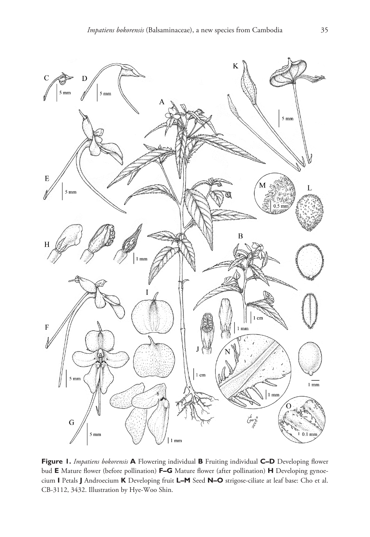

**Figure 1.** *Impatiens bokorensis* **A** Flowering individual **B** Fruiting individual **C–D** Developing flower bud **E** Mature flower (before pollination) **F–G** Mature flower (after pollination) **H** Developing gynoecium **I** Petals **J** Androecium **K** Developing fruit **L–M** Seed **N–O** strigose-ciliate at leaf base: Cho et al. CB-3112, 3432. Illustration by Hye-Woo Shin.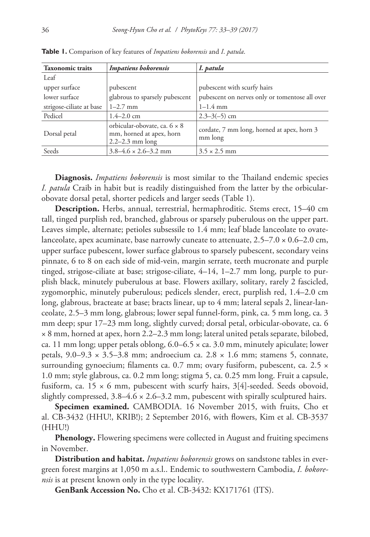| <b>Taxonomic traits</b>  | Impatiens bokorensis                                                            | I. patula                                             |
|--------------------------|---------------------------------------------------------------------------------|-------------------------------------------------------|
| Leaf                     |                                                                                 |                                                       |
| upper surface            | pubescent                                                                       | pubescent with scurfy hairs                           |
| lower surface            | glabrous to sparsely pubescent                                                  | pubescent on nerves only or tomentose all over        |
| strigose-ciliate at base | $1 - 2.7$ mm                                                                    | $1 - 1.4$ mm                                          |
| Pedicel                  | $1.4 - 2.0$ cm                                                                  | $2.3 - 3(-5)$ cm                                      |
| Dorsal petal             | orbicular-obovate, ca. 6 × 8<br>mm, horned at apex, horn<br>$2.2 - 2.3$ mm long | cordate, 7 mm long, horned at apex, horn 3<br>mm long |
| Seeds                    | $3.8 - 4.6 \times 2.6 - 3.2$ mm                                                 | $3.5 \times 2.5$ mm                                   |

**Table 1.** Comparison of key features of *Impatiens bokorensis* and *I*. *patula*.

**Diagnosis.** *Impatiens bokorensis* is most similar to the Thailand endemic species *I. patula* Craib in habit but is readily distinguished from the latter by the orbicularobovate dorsal petal, shorter pedicels and larger seeds (Table 1).

**Description.** Herbs, annual, terrestrial, hermaphroditic. Stems erect, 15–40 cm tall, tinged purplish red, branched, glabrous or sparsely puberulous on the upper part. Leaves simple, alternate; petioles subsessile to 1.4 mm; leaf blade lanceolate to ovatelanceolate, apex acuminate, base narrowly cuneate to attenuate,  $2.5-7.0 \times 0.6-2.0$  cm, upper surface pubescent, lower surface glabrous to sparsely pubescent, secondary veins pinnate, 6 to 8 on each side of mid-vein, margin serrate, teeth mucronate and purple tinged, strigose-ciliate at base; strigose-ciliate, 4–14, 1–2.7 mm long, purple to purplish black, minutely puberulous at base. Flowers axillary, solitary, rarely 2 fascicled, zygomorphic, minutely puberulous; pedicels slender, erect, purplish red, 1.4–2.0 cm long, glabrous, bracteate at base; bracts linear, up to 4 mm; lateral sepals 2, linear-lanceolate, 2.5–3 mm long, glabrous; lower sepal funnel-form, pink, ca. 5 mm long, ca. 3 mm deep; spur 17–23 mm long, slightly curved; dorsal petal, orbicular-obovate, ca. 6 × 8 mm, horned at apex, horn 2.2–2.3 mm long; lateral united petals separate, bilobed, ca. 11 mm long; upper petals oblong,  $6.0-6.5 \times$  ca. 3.0 mm, minutely apiculate; lower petals,  $9.0-9.3 \times 3.5-3.8$  mm; androecium ca.  $2.8 \times 1.6$  mm; stamens 5, connate, surrounding gynoecium; filaments ca. 0.7 mm; ovary fusiform, pubescent, ca. 2.5  $\times$ 1.0 mm; style glabrous, ca. 0.2 mm long; stigma 5, ca. 0.25 mm long. Fruit a capsule, fusiform, ca.  $15 \times 6$  mm, pubescent with scurfy hairs,  $3[4]$ -seeded. Seeds obovoid, slightly compressed,  $3.8-4.6 \times 2.6-3.2$  mm, pubescent with spirally sculptured hairs.

**Specimen examined.** CAMBODIA. 16 November 2015, with fruits, Cho et al. CB-3432 (HHU!, KRIB!); 2 September 2016, with flowers, Kim et al. CB-3537 (HHU!)

**Phenology.** Flowering specimens were collected in August and fruiting specimens in November.

**Distribution and habitat.** *Impatiens bokorensis* grows on sandstone tables in evergreen forest margins at 1,050 m a.s.l.. Endemic to southwestern Cambodia, *I. bokorensis* is at present known only in the type locality.

**GenBank Accession No.** Cho et al. CB-3432: [KX171761](http://www.ncbi.nlm.nih.gov/nuccore/KX171761) (ITS).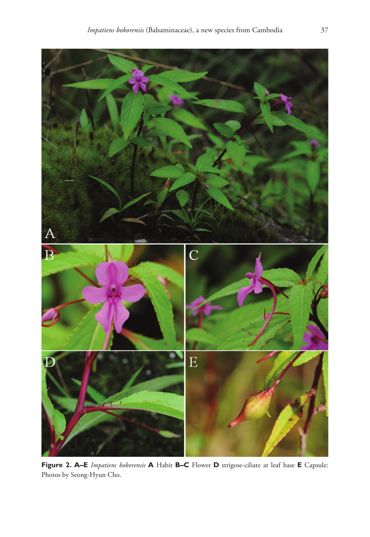

**Figure 2. A–E** *Impatiens bokorensis* **A** Habit **B–C** Flower **D** strigose-ciliate at leaf base **E** Capsule: Photos by Seong-Hyun Cho.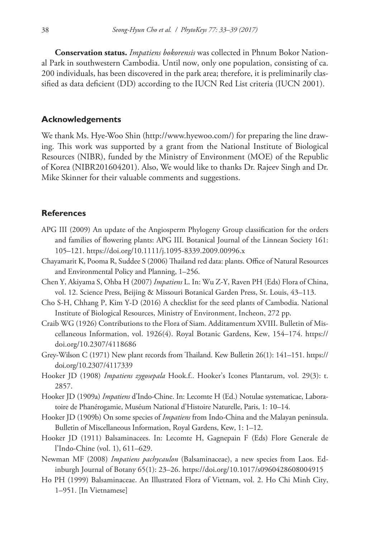**Conservation status.** *Impatiens bokorensis* was collected in Phnum Bokor National Park in southwestern Cambodia. Until now, only one population, consisting of ca. 200 individuals, has been discovered in the park area; therefore, it is preliminarily classified as data deficient (DD) according to the IUCN Red List criteria (IUCN 2001).

## **Acknowledgements**

We thank Ms. Hye-Woo Shin ([http://www.hyewoo.com/\)](http://www.hyewoo.com/) for preparing the line drawing. This work was supported by a grant from the National Institute of Biological Resources (NIBR), funded by the Ministry of Environment (MOE) of the Republic of Korea (NIBR201604201). Also, We would like to thanks Dr. Rajeev Singh and Dr. Mike Skinner for their valuable comments and suggestions.

## **References**

- APG III (2009) An update of the Angiosperm Phylogeny Group classification for the orders and families of flowering plants: APG III. Botanical Journal of the Linnean Society 161: 105–121.<https://doi.org/10.1111/j.1095-8339.2009.00996.x>
- Chayamarit K, Pooma R, Suddee S (2006) Thailand red data: plants. Office of Natural Resources and Environmental Policy and Planning, 1–256.
- Chen Y, Akiyama S, Ohba H (2007) *Impatiens* L. In: Wu Z-Y, Raven PH (Eds) Flora of China, vol. 12. Science Press, Beijing & Missouri Botanical Garden Press, St. Louis, 43–113.
- Cho S-H, Chhang P, Kim Y-D (2016) A checklist for the seed plants of Cambodia. National Institute of Biological Resources, Ministry of Environment, Incheon, 272 pp.
- Craib WG (1926) Contributions to the Flora of Siam. Additamentum XVIII. Bulletin of Miscellaneous Information, vol. 1926(4). Royal Botanic Gardens, Kew, 154–174. [https://](https://doi.org/10.2307/4118686) [doi.org/10.2307/4118686](https://doi.org/10.2307/4118686)
- Grey-Wilson C (1971) New plant records from Thailand. Kew Bulletin 26(1): 141–151. [https://](https://doi.org/10.2307/4117339) [doi.org/10.2307/4117339](https://doi.org/10.2307/4117339)
- Hooker JD (1908) *Impatiens zygosepala* Hook.f.. Hooker's Icones Plantarum, vol. 29(3): t. 2857.
- Hooker JD (1909a) *Impatiens* d'Indo-Chine. In: Lecomte H (Ed.) Notulae systematicae, Laboratoire de Phanérogamie, Muséum National d'Histoire Naturelle, Paris, 1: 10–14.
- Hooker JD (1909b) On some species of *Impatiens* from Indo-China and the Malayan peninsula. Bulletin of Miscellaneous Information, Royal Gardens, Kew, 1: 1–12.
- Hooker JD (1911) Balsaminacees. In: Lecomte H, Gagnepain F (Eds) Flore Generale de l'Indo-Chine (vol. 1), 611–629.
- Newman MF (2008) *Impatiens pachycaulon* (Balsaminaceae), a new species from Laos. Edinburgh Journal of Botany 65(1): 23–26. <https://doi.org/10.1017/s0960428608004915>
- Ho PH (1999) Balsaminaceae. An Illustrated Flora of Vietnam, vol. 2. Ho Chi Minh City, 1–951. [In Vietnamese]